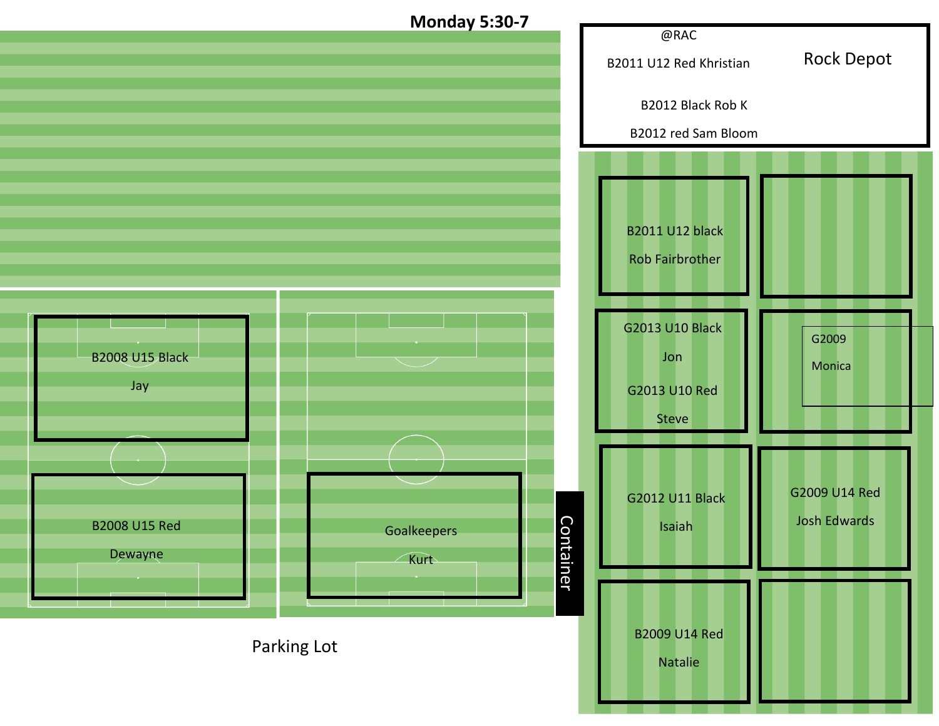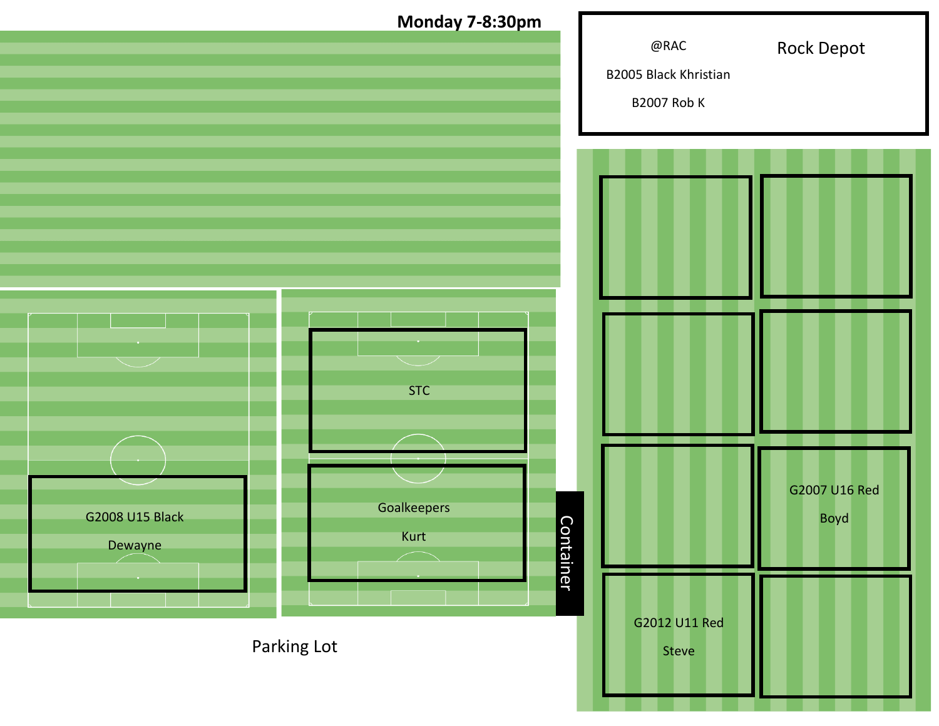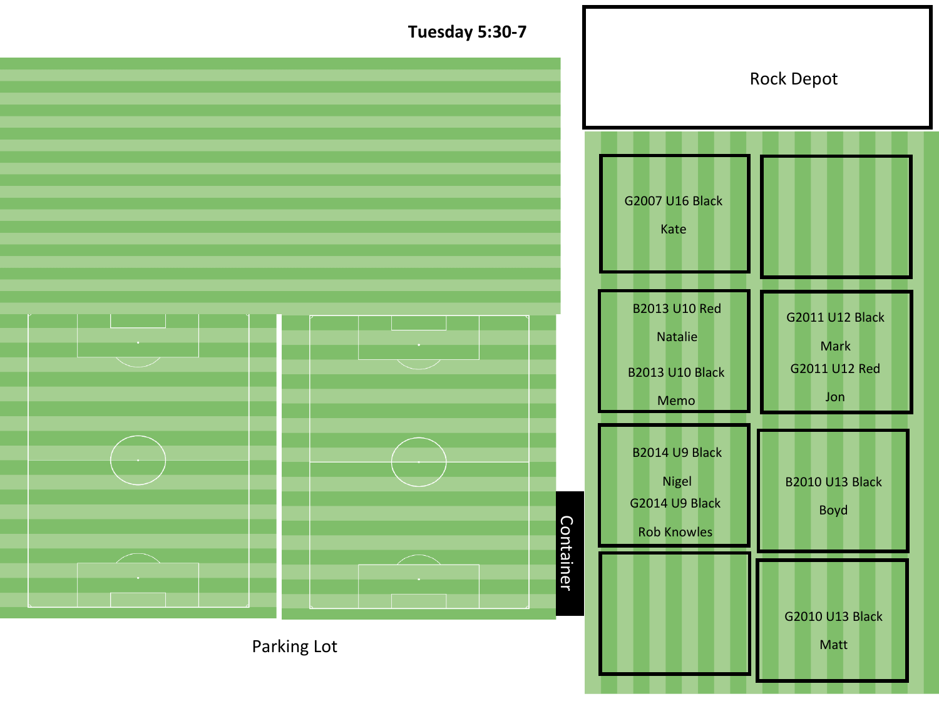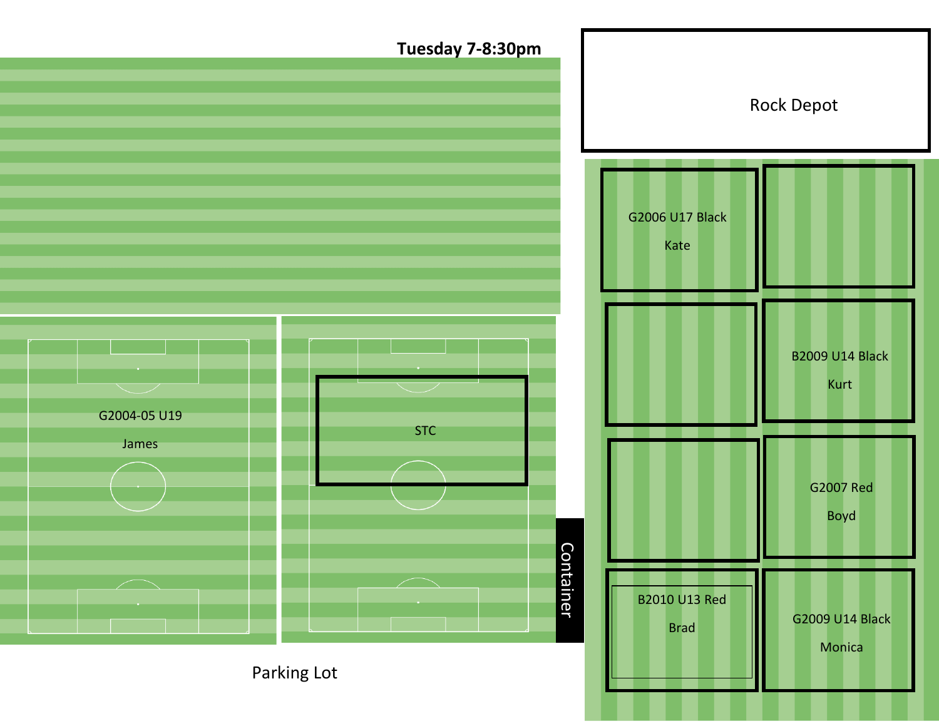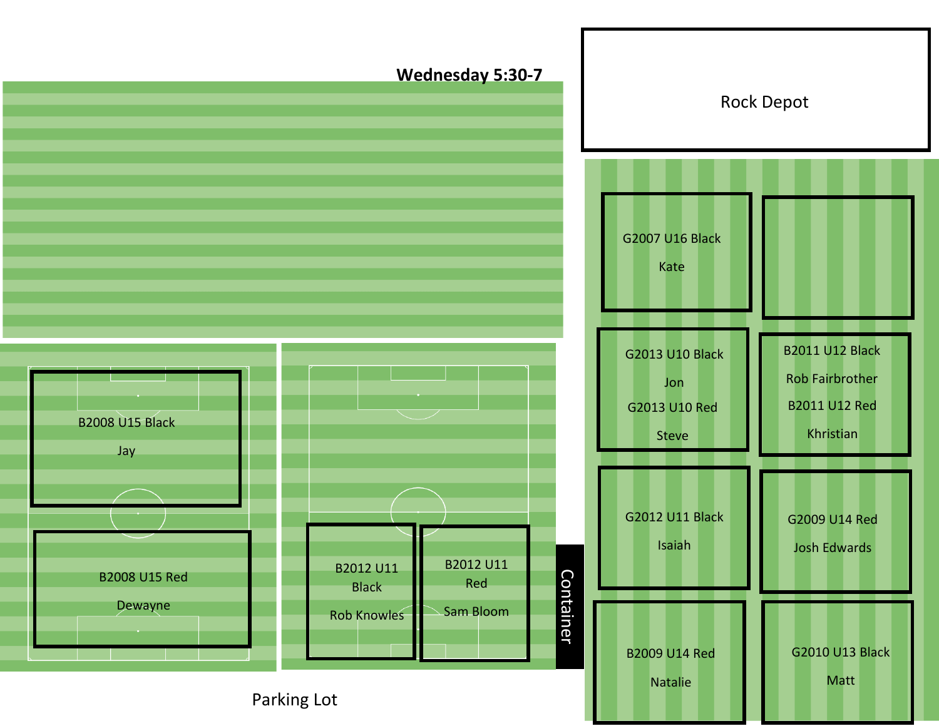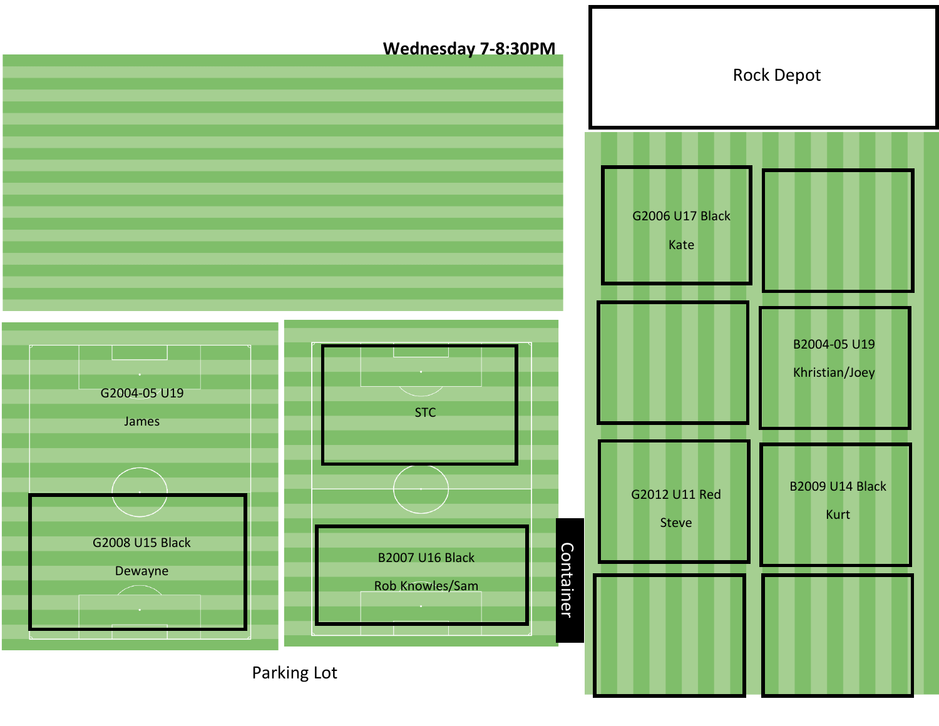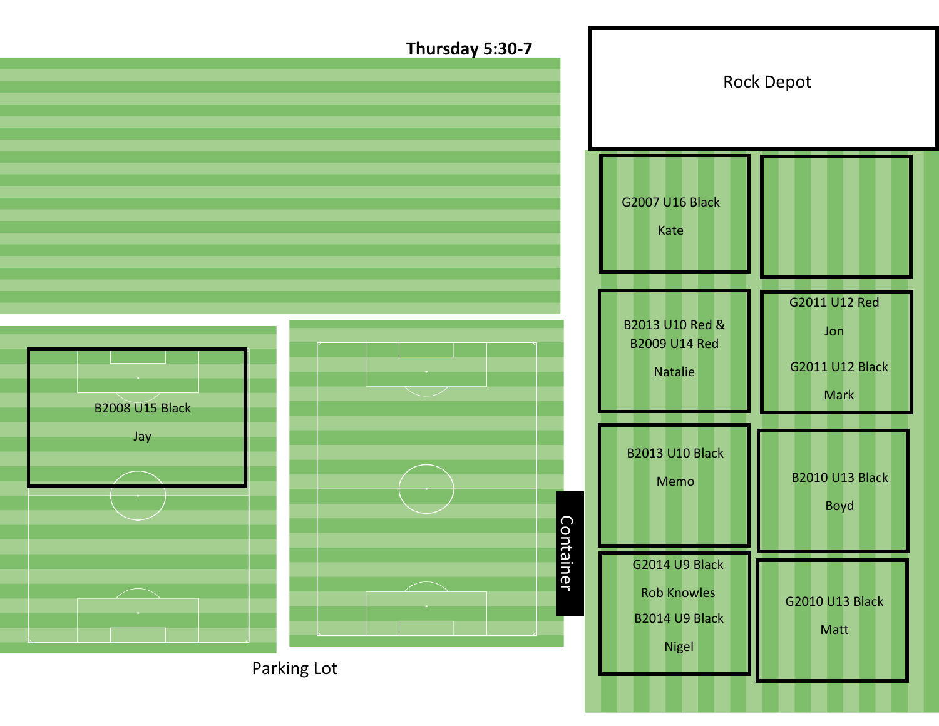